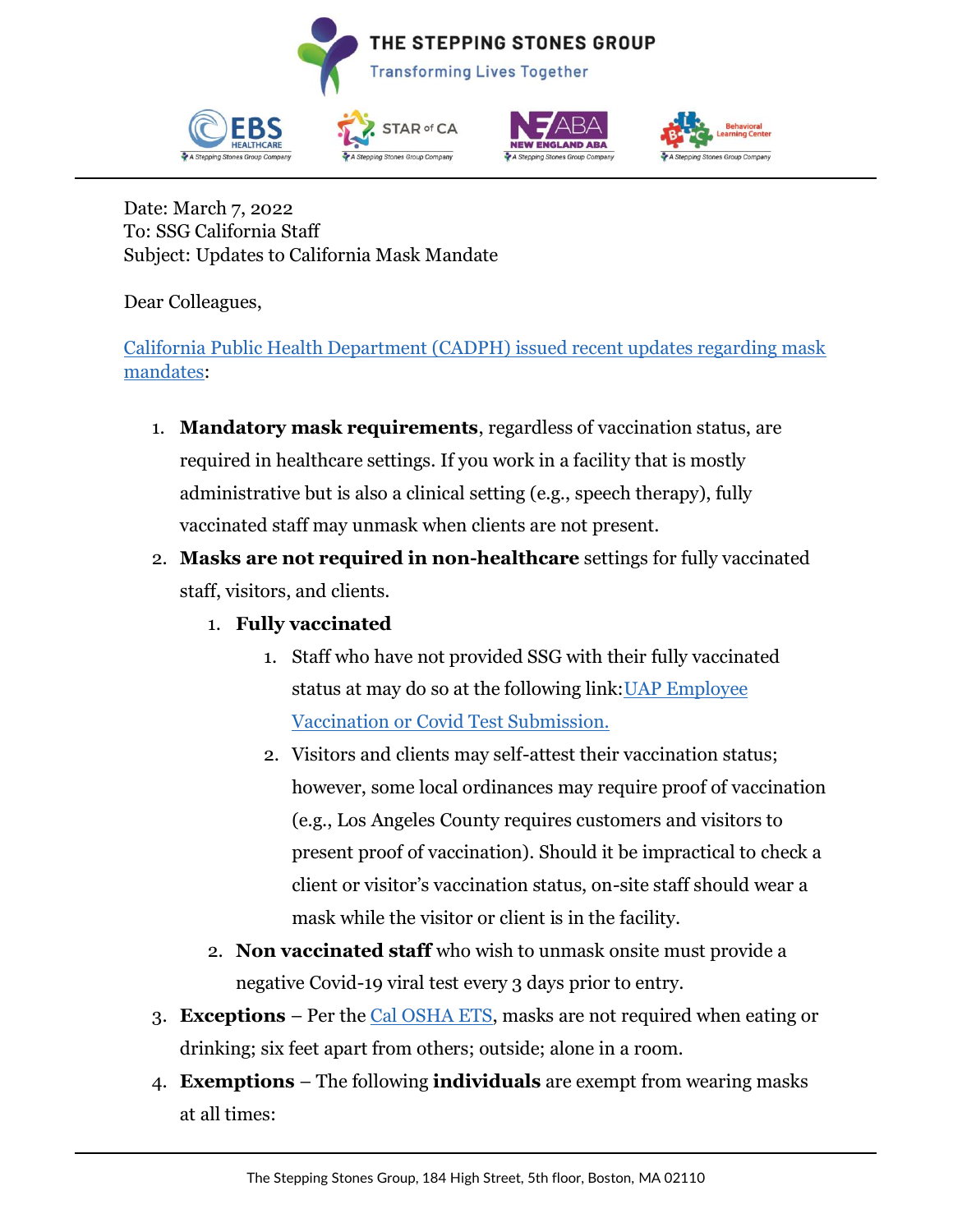



Date: March 7, 2022 To: SSG California Staff Subject: Updates to California Mask Mandate

Dear Colleagues,

[California Public Health Department \(CADPH\) issued recent updates regarding mask](https://info.thesteppingstonesgroup.com/e3t/Btc/T+113/cFn4-04/VWF4PC8bmBT8W1_-_4Y4kHtdpW2dmkKk4Gn1ZBMDyKnJ3q3pBV1-WJV7CgCvjW3l3T2y5FzWxlW2dQBqz7m6T6bW3G0FXr4ZNMpFVLrxbY8fRRj4W1ZvmfW8J1sfVW901L6z6D3Bc8W31_wPL6yyP05W5YP-4q3HxmBrW3Ws3Z68RPsdSW6hWyWY2Ckf-bW91b_ln1h-KJGW4jS9py7dMNG0W7jkWLR9b8Vt2W5qlJ056dPDYJVxk94R7YRsc1W4zWB4g20NS48W98wN7N42H_zmW385_SP31mfXdW71FkZx7h8mnCW2Kmn6_89DrmyW6pYVLg2vmZHwW3v2lpc6f8nsXW3gc-F77zw7dJW6x9NP31HmZDbW7vZWDm1nDby-N6Kq3xwjmFbXVfmVqd1hJVv4W1JkwRv3VNwQzW5b1zxy7VyMW2W5P6Cxv5_9F6237QP1)  [mandates:](https://info.thesteppingstonesgroup.com/e3t/Btc/T+113/cFn4-04/VWF4PC8bmBT8W1_-_4Y4kHtdpW2dmkKk4Gn1ZBMDyKnJ3q3pBV1-WJV7CgCvjW3l3T2y5FzWxlW2dQBqz7m6T6bW3G0FXr4ZNMpFVLrxbY8fRRj4W1ZvmfW8J1sfVW901L6z6D3Bc8W31_wPL6yyP05W5YP-4q3HxmBrW3Ws3Z68RPsdSW6hWyWY2Ckf-bW91b_ln1h-KJGW4jS9py7dMNG0W7jkWLR9b8Vt2W5qlJ056dPDYJVxk94R7YRsc1W4zWB4g20NS48W98wN7N42H_zmW385_SP31mfXdW71FkZx7h8mnCW2Kmn6_89DrmyW6pYVLg2vmZHwW3v2lpc6f8nsXW3gc-F77zw7dJW6x9NP31HmZDbW7vZWDm1nDby-N6Kq3xwjmFbXVfmVqd1hJVv4W1JkwRv3VNwQzW5b1zxy7VyMW2W5P6Cxv5_9F6237QP1)

- 1. **Mandatory mask requirements**, regardless of vaccination status, are required in healthcare settings. If you work in a facility that is mostly administrative but is also a clinical setting (e.g., speech therapy), fully vaccinated staff may unmask when clients are not present.
- 2. **Masks are not required in non-healthcare** settings for fully vaccinated staff, visitors, and clients.
	- 1. **Fully vaccinated**
		- 1. Staff who have not provided SSG with their fully vaccinated status at may do so at the following link: UAP Employee [Vaccination or Covid Test Submission.](https://info.thesteppingstonesgroup.com/e3t/Btc/T+113/cFn4-04/VWF4PC8bmBT8W1_-_4Y4kHtdpW2dmkKk4Gn1ZBMDyKnp3q3phV1-WJV7CgPJGW1z1tJB6ZsFRgW2Bqv9y61XxzyW6K6_FZ3snb64W8qmWkC3nr-n2W19hKj02GsyHbW1qQTKS6gQ4nRW7fhK6G29HR6KVbGvYG176sqkW5wkGBK2hWchKV7SCB02w-xvnW7l7zNZ89YmTsW43w2Pl6SqtwzW2CflD57Zs4R5W3PYM3C6y7r6mW2VNmgb2tC5RWV1CcRn1wmnb8W26z0957pzWQqVz2_dL1c3SRlW2y1vtm6WrskjN7f0xGZWt_NtW48gd4q6qJC2wW7QtMRL6T_YMKV_cY7t4VL7CLW3BSqyw5NddmNW10tzdN537KbxW8-Pz3V6sMLDRN7QNKvyw0dGpW4cTjyJ7tSpk33qrQ1)
		- 2. Visitors and clients may self-attest their vaccination status; however, some local ordinances may require proof of vaccination (e.g., Los Angeles County requires customers and visitors to present proof of vaccination). Should it be impractical to check a client or visitor's vaccination status, on-site staff should wear a mask while the visitor or client is in the facility.
	- 2. **Non vaccinated staff** who wish to unmask onsite must provide a negative Covid-19 viral test every 3 days prior to entry.
- 3. **Exceptions** Per the [Cal OSHA ETS,](https://info.thesteppingstonesgroup.com/e3t/Btc/T+113/cFn4-04/VWF4PC8bmBT8W1_-_4Y4kHtdpW2dmkKk4Gn1ZBMDyKnp3q3phV1-WJV7CgYt_W4Nwn4v10B07RW3k8bfZ88tlKlW2wY4Nk5f85dCW3Scdj01VvxBXW4Z6VM-1j1J68W7jNyfW79MQBvW9bFv8L140TRKW3Cc9Nd50xwJ1N73rBdZ8Xgz2W6DKNJ18YmJT3W804KcG3WCM8wW7wJpLz8RYTr9W6KRvS07l-tVJW6MKVVF4RSdFcW84TcpV8YgsmMV9PHKg8k48GKW89h9w89cz0_JW4YgZh670DrZ3W3SGT584NRh3-W1bDlfQ7s7wtpW8-0rNQ5BVPxTW5WP7hc3SsTTQW4wwCpr6SH8fcW54MZ948b05yvW6MHsSl8KvZ24W17W71B3HQHmLMPPWZHn_PStW9kjhbs8Z-GH837Gz1) masks are not required when eating or drinking; six feet apart from others; outside; alone in a room.
- 4. **Exemptions** The following **individuals** are exempt from wearing masks at all times: